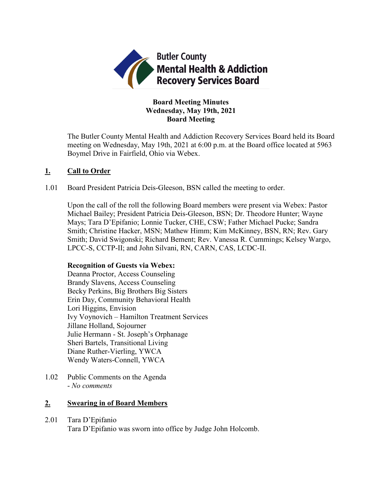

# **Board Meeting Minutes Wednesday, May 19th, 2021 Board Meeting**

The Butler County Mental Health and Addiction Recovery Services Board held its Board meeting on Wednesday, May 19th, 2021 at 6:00 p.m. at the Board office located at 5963 Boymel Drive in Fairfield, Ohio via Webex.

# **1. Call to Order**

1.01 Board President Patricia Deis-Gleeson, BSN called the meeting to order.

Upon the call of the roll the following Board members were present via Webex: Pastor Michael Bailey; President Patricia Deis-Gleeson, BSN; Dr. Theodore Hunter; Wayne Mays; Tara D'Epifanio; Lonnie Tucker, CHE, CSW; Father Michael Pucke; Sandra Smith; Christine Hacker, MSN; Mathew Himm; Kim McKinney, BSN, RN; Rev. Gary Smith; David Swigonski; Richard Bement; Rev. Vanessa R. Cummings; Kelsey Wargo, LPCC-S, CCTP-II; and John Silvani, RN, CARN, CAS, LCDC-II.

# **Recognition of Guests via Webex:**

Deanna Proctor, Access Counseling Brandy Slavens, Access Counseling Becky Perkins, Big Brothers Big Sisters Erin Day, Community Behavioral Health Lori Higgins, Envision Ivy Voynovich – Hamilton Treatment Services Jillane Holland, Sojourner Julie Hermann - St. Joseph's Orphanage Sheri Bartels, Transitional Living Diane Ruther-Vierling, YWCA Wendy Waters-Connell, YWCA

1.02 Public Comments on the Agenda - *No comments*

# **2. Swearing in of Board Members**

## 2.01 Tara D'Epifanio

Tara D'Epifanio was sworn into office by Judge John Holcomb.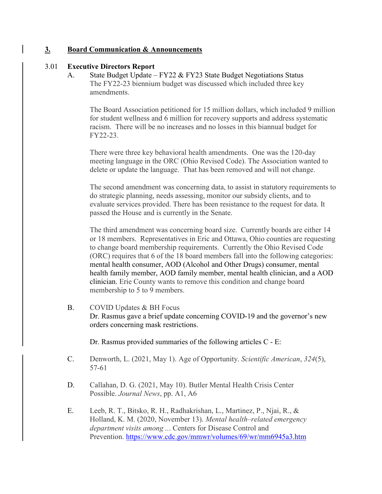## **3. Board Communication & Announcements**

## 3.01 **Executive Directors Report**

A. State Budget Update – FY22 & FY23 State Budget Negotiations Status The FY22-23 biennium budget was discussed which included three key amendments.

The Board Association petitioned for 15 million dollars, which included 9 million for student wellness and 6 million for recovery supports and address systematic racism. There will be no increases and no losses in this biannual budget for FY22-23.

There were three key behavioral health amendments. One was the 120-day meeting language in the ORC (Ohio Revised Code). The Association wanted to delete or update the language. That has been removed and will not change.

The second amendment was concerning data, to assist in statutory requirements to do strategic planning, needs assessing, monitor our subsidy clients, and to evaluate services provided. There has been resistance to the request for data. It passed the House and is currently in the Senate.

The third amendment was concerning board size. Currently boards are either 14 or 18 members. Representatives in Eric and Ottawa, Ohio counties are requesting to change board membership requirements. Currently the Ohio Revised Code (ORC) requires that 6 of the 18 board members fall into the following categories: mental health consumer, AOD (Alcohol and Other Drugs) consumer, mental health family member, AOD family member, mental health clinician, and a AOD clinician. Erie County wants to remove this condition and change board membership to 5 to 9 members.

B. COVID Updates & BH Focus

Dr. Rasmus gave a brief update concerning COVID-19 and the governor's new orders concerning mask restrictions.

Dr. Rasmus provided summaries of the following articles C - E:

- C. Denworth, L. (2021, May 1). Age of Opportunity. *Scientific American*, *324*(5), 57-61
- D. Callahan, D. G. (2021, May 10). Butler Mental Health Crisis Center Possible. *Journal News*, pp. A1, A6
- E. Leeb, R. T., Bitsko, R. H., Radhakrishan, L., Martinez, P., Njai, R., & Holland, K. M. (2020, November 13). *Mental health–related emergency department visits among ..*. Centers for Disease Control and Prevention. <https://www.cdc.gov/mmwr/volumes/69/wr/mm6945a3.htm>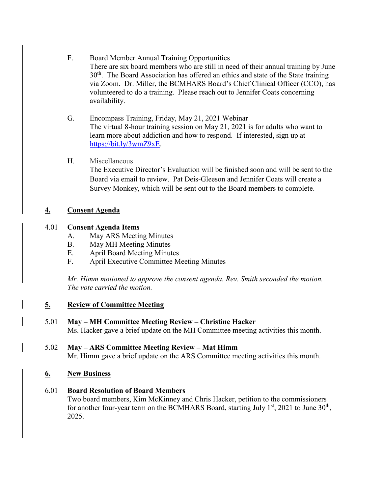- F. Board Member Annual Training Opportunities There are six board members who are still in need of their annual training by June 30<sup>th</sup>. The Board Association has offered an ethics and state of the State training via Zoom. Dr. Miller, the BCMHARS Board's Chief Clinical Officer (CCO), has volunteered to do a training. Please reach out to Jennifer Coats concerning availability.
- G. Encompass Training, Friday, May 21, 2021 Webinar The virtual 8-hour training session on May 21, 2021 is for adults who want to learn more about addiction and how to respond. If interested, sign up at [https://bit.ly/3wmZ9xE.](https://bit.ly/3wmZ9xE)

# H. Miscellaneous

The Executive Director's Evaluation will be finished soon and will be sent to the Board via email to review. Pat Deis-Gleeson and Jennifer Coats will create a Survey Monkey, which will be sent out to the Board members to complete.

# **4. Consent Agenda**

# 4.01 **Consent Agenda Items**

- A. May ARS Meeting Minutes
- B. May MH Meeting Minutes
- E. April Board Meeting Minutes
- F. April Executive Committee Meeting Minutes

*Mr. Himm motioned to approve the consent agenda. Rev. Smith seconded the motion. The vote carried the motion.*

# **5. Review of Committee Meeting**

# 5.01 **May – MH Committee Meeting Review – Christine Hacker**

Ms. Hacker gave a brief update on the MH Committee meeting activities this month.

#### 5.02 **May – ARS Committee Meeting Review – Mat Himm** Mr. Himm gave a brief update on the ARS Committee meeting activities this month.

# **6. New Business**

# 6.01 **Board Resolution of Board Members**

Two board members, Kim McKinney and Chris Hacker, petition to the commissioners for another four-year term on the BCMHARS Board, starting July  $1<sup>st</sup>$ , 2021 to June  $30<sup>th</sup>$ , 2025.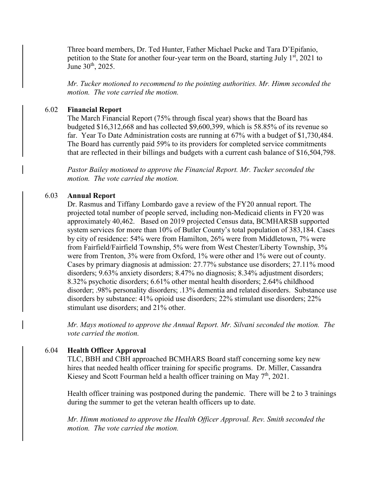Three board members, Dr. Ted Hunter, Father Michael Pucke and Tara D'Epifanio, petition to the State for another four-year term on the Board, starting July  $1<sup>st</sup>$ , 2021 to June 30<sup>th</sup>, 2025.

*Mr. Tucker motioned to recommend to the pointing authorities. Mr. Himm seconded the motion. The vote carried the motion.*

## 6.02 **Financial Report**

The March Financial Report (75% through fiscal year) shows that the Board has budgeted \$16,312,668 and has collected \$9,600,399, which is 58.85% of its revenue so far. Year To Date Administration costs are running at 67% with a budget of \$1,730,484. The Board has currently paid 59% to its providers for completed service commitments that are reflected in their billings and budgets with a current cash balance of \$16,504,798.

*Pastor Bailey motioned to approve the Financial Report. Mr. Tucker seconded the motion. The vote carried the motion.*

# 6.03 **Annual Report**

Dr. Rasmus and Tiffany Lombardo gave a review of the FY20 annual report. The projected total number of people served, including non-Medicaid clients in FY20 was approximately 40,462. Based on 2019 projected Census data, BCMHARSB supported system services for more than 10% of Butler County's total population of 383,184. Cases by city of residence: 54% were from Hamilton, 26% were from Middletown, 7% were from Fairfield/Fairfield Township, 5% were from West Chester/Liberty Township, 3% were from Trenton, 3% were from Oxford, 1% were other and 1% were out of county. Cases by primary diagnosis at admission: 27.77% substance use disorders; 27.11% mood disorders; 9.63% anxiety disorders; 8.47% no diagnosis; 8.34% adjustment disorders; 8.32% psychotic disorders; 6.61% other mental health disorders; 2.64% childhood disorder; .98% personality disorders; .13% dementia and related disorders. Substance use disorders by substance: 41% opioid use disorders; 22% stimulant use disorders; 22% stimulant use disorders; and 21% other.

*Mr. Mays motioned to approve the Annual Report. Mr. Silvani seconded the motion. The vote carried the motion.*

# 6.04 **Health Officer Approval**

TLC, BBH and CBH approached BCMHARS Board staff concerning some key new hires that needed health officer training for specific programs. Dr. Miller, Cassandra Kiesey and Scott Fourman held a health officer training on May  $7<sup>th</sup>$ , 2021.

Health officer training was postponed during the pandemic. There will be 2 to 3 trainings during the summer to get the veteran health officers up to date.

*Mr. Himm motioned to approve the Health Officer Approval. Rev. Smith seconded the motion. The vote carried the motion.*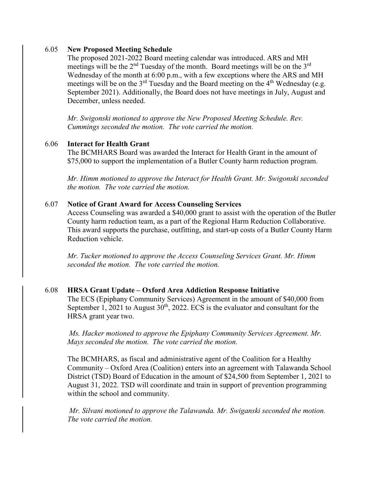## 6.05 **New Proposed Meeting Schedule**

The proposed 2021-2022 Board meeting calendar was introduced. ARS and MH meetings will be the  $2<sup>nd</sup>$  Tuesday of the month. Board meetings will be on the  $3<sup>rd</sup>$ Wednesday of the month at 6:00 p.m., with a few exceptions where the ARS and MH meetings will be on the  $3<sup>rd</sup>$  Tuesday and the Board meeting on the  $4<sup>th</sup>$  Wednesday (e.g. September 2021). Additionally, the Board does not have meetings in July, August and December, unless needed.

*Mr. Swigonski motioned to approve the New Proposed Meeting Schedule. Rev. Cummings seconded the motion. The vote carried the motion.*

#### 6.06 **Interact for Health Grant**

The BCMHARS Board was awarded the Interact for Health Grant in the amount of \$75,000 to support the implementation of a Butler County harm reduction program.

*Mr. Himm motioned to approve the Interact for Health Grant. Mr. Swigonski seconded the motion. The vote carried the motion.*

#### 6.07 **Notice of Grant Award for Access Counseling Services**

Access Counseling was awarded a \$40,000 grant to assist with the operation of the Butler County harm reduction team, as a part of the Regional Harm Reduction Collaborative. This award supports the purchase, outfitting, and start-up costs of a Butler County Harm Reduction vehicle.

*Mr. Tucker motioned to approve the Access Counseling Services Grant. Mr. Himm seconded the motion. The vote carried the motion.*

## 6.08 **HRSA Grant Update – Oxford Area Addiction Response Initiative**

The ECS (Epiphany Community Services) Agreement in the amount of \$40,000 from September 1, 2021 to August  $30<sup>th</sup>$ , 2022. ECS is the evaluator and consultant for the HRSA grant year two.

*Ms. Hacker motioned to approve the Epiphany Community Services Agreement. Mr. Mays seconded the motion. The vote carried the motion.*

The BCMHARS, as fiscal and administrative agent of the Coalition for a Healthy Community – Oxford Area (Coalition) enters into an agreement with Talawanda School District (TSD) Board of Education in the amount of \$24,500 from September 1, 2021 to August 31, 2022. TSD will coordinate and train in support of prevention programming within the school and community.

*Mr. Silvani motioned to approve the Talawanda. Mr. Swiganski seconded the motion. The vote carried the motion.*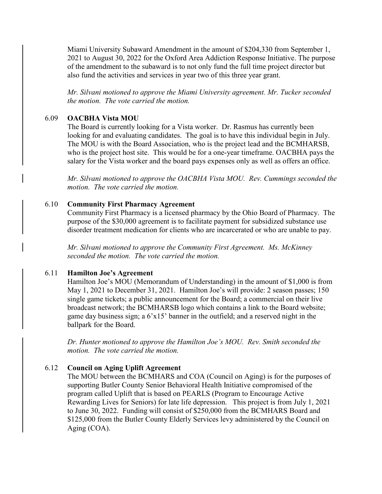Miami University Subaward Amendment in the amount of \$204,330 from September 1, 2021 to August 30, 2022 for the Oxford Area Addiction Response Initiative. The purpose of the amendment to the subaward is to not only fund the full time project director but also fund the activities and services in year two of this three year grant.

*Mr. Silvani motioned to approve the Miami University agreement. Mr. Tucker seconded the motion. The vote carried the motion.*

#### 6.09 **OACBHA Vista MOU**

The Board is currently looking for a Vista worker. Dr. Rasmus has currently been looking for and evaluating candidates. The goal is to have this individual begin in July. The MOU is with the Board Association, who is the project lead and the BCMHARSB, who is the project host site. This would be for a one-year timeframe. OACBHA pays the salary for the Vista worker and the board pays expenses only as well as offers an office.

*Mr. Silvani motioned to approve the OACBHA Vista MOU. Rev. Cummings seconded the motion. The vote carried the motion.*

#### 6.10 **Community First Pharmacy Agreement**

Community First Pharmacy is a licensed pharmacy by the Ohio Board of Pharmacy. The purpose of the \$30,000 agreement is to facilitate payment for subsidized substance use disorder treatment medication for clients who are incarcerated or who are unable to pay.

*Mr. Silvani motioned to approve the Community First Agreement. Ms. McKinney seconded the motion. The vote carried the motion.*

#### 6.11 **Hamilton Joe's Agreement**

Hamilton Joe's MOU (Memorandum of Understanding) in the amount of \$1,000 is from May 1, 2021 to December 31, 2021. Hamilton Joe's will provide: 2 season passes; 150 single game tickets; a public announcement for the Board; a commercial on their live broadcast network; the BCMHARSB logo which contains a link to the Board website; game day business sign; a 6'x15' banner in the outfield; and a reserved night in the ballpark for the Board.

*Dr. Hunter motioned to approve the Hamilton Joe's MOU. Rev. Smith seconded the motion. The vote carried the motion.*

## 6.12 **Council on Aging Uplift Agreement**

The MOU between the BCMHARS and COA (Council on Aging) is for the purposes of supporting Butler County Senior Behavioral Health Initiative compromised of the program called Uplift that is based on PEARLS (Program to Encourage Active Rewarding Lives for Seniors) for late life depression. This project is from July 1, 2021 to June 30, 2022. Funding will consist of \$250,000 from the BCMHARS Board and \$125,000 from the Butler County Elderly Services levy administered by the Council on Aging (COA).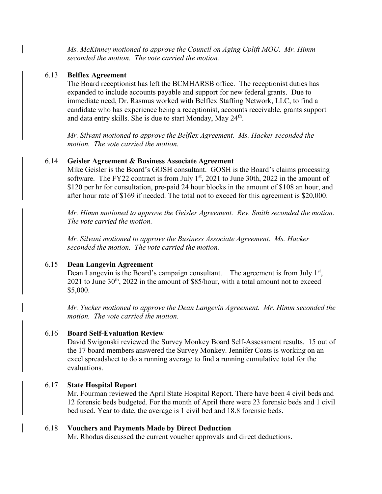*Ms. McKinney motioned to approve the Council on Aging Uplift MOU. Mr. Himm seconded the motion. The vote carried the motion.*

## 6.13 **Belflex Agreement**

The Board receptionist has left the BCMHARSB office. The receptionist duties has expanded to include accounts payable and support for new federal grants. Due to immediate need, Dr. Rasmus worked with Belflex Staffing Network, LLC, to find a candidate who has experience being a receptionist, accounts receivable, grants support and data entry skills. She is due to start Monday, May  $24<sup>th</sup>$ .

*Mr. Silvani motioned to approve the Belflex Agreement. Ms. Hacker seconded the motion. The vote carried the motion.*

## 6.14 **Geisler Agreement & Business Associate Agreement**

Mike Geisler is the Board's GOSH consultant. GOSH is the Board's claims processing software. The FY22 contract is from July  $1<sup>st</sup>$ , 2021 to June 30th, 2022 in the amount of \$120 per hr for consultation, pre-paid 24 hour blocks in the amount of \$108 an hour, and after hour rate of \$169 if needed. The total not to exceed for this agreement is \$20,000.

*Mr. Himm motioned to approve the Geisler Agreement. Rev. Smith seconded the motion. The vote carried the motion.*

*Mr. Silvani motioned to approve the Business Associate Agreement. Ms. Hacker seconded the motion. The vote carried the motion.*

## 6.15 **Dean Langevin Agreement**

Dean Langevin is the Board's campaign consultant. The agreement is from July  $1<sup>st</sup>$ ,  $2021$  to June  $30<sup>th</sup>$ ,  $2022$  in the amount of \$85/hour, with a total amount not to exceed \$5,000.

*Mr. Tucker motioned to approve the Dean Langevin Agreement. Mr. Himm seconded the motion. The vote carried the motion.*

## 6.16 **Board Self-Evaluation Review**

David Swigonski reviewed the Survey Monkey Board Self-Assessment results. 15 out of the 17 board members answered the Survey Monkey. Jennifer Coats is working on an excel spreadsheet to do a running average to find a running cumulative total for the evaluations.

## 6.17 **State Hospital Report**

Mr. Fourman reviewed the April State Hospital Report. There have been 4 civil beds and 12 forensic beds budgeted. For the month of April there were 23 forensic beds and 1 civil bed used. Year to date, the average is 1 civil bed and 18.8 forensic beds.

#### 6.18 **Vouchers and Payments Made by Direct Deduction**

Mr. Rhodus discussed the current voucher approvals and direct deductions.